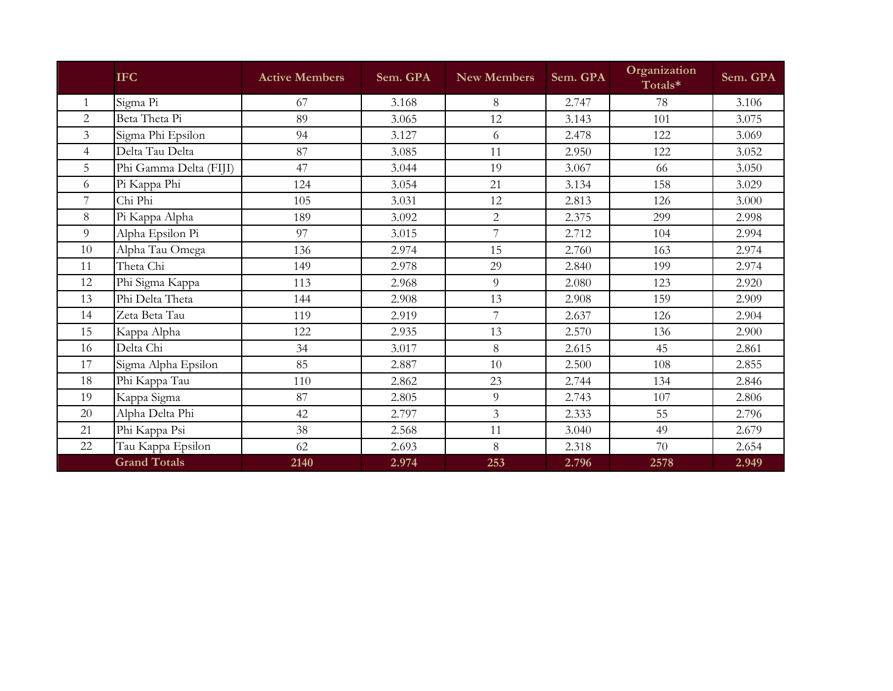|                | <b>IFC</b>             | <b>Active Members</b> | Sem. GPA | <b>New Members</b> | Sem. GPA | Organization<br>Totals* | Sem. GPA |
|----------------|------------------------|-----------------------|----------|--------------------|----------|-------------------------|----------|
| $\mathbf{1}$   | Sigma Pi               | 67                    | 3.168    | 8                  | 2.747    | 78                      | 3.106    |
| 2              | Beta Theta Pi          | 89                    | 3.065    | 12                 | 3.143    | 101                     | 3.075    |
| $\overline{3}$ | Sigma Phi Epsilon      | 94                    | 3.127    | 6                  | 2.478    | 122                     | 3.069    |
| $\overline{4}$ | Delta Tau Delta        | 87                    | 3.085    | 11                 | 2.950    | 122                     | 3.052    |
| 5              | Phi Gamma Delta (FIJI) | 47                    | 3.044    | 19                 | 3.067    | 66                      | 3.050    |
| 6              | Pi Kappa Phi           | 124                   | 3.054    | 21                 | 3.134    | 158                     | 3.029    |
| 7              | Chi Phi                | 105                   | 3.031    | 12                 | 2.813    | 126                     | 3.000    |
| 8              | Pi Kappa Alpha         | 189                   | 3.092    | $\overline{2}$     | 2.375    | 299                     | 2.998    |
| 9              | Alpha Epsilon Pi       | 97                    | 3.015    | 7                  | 2.712    | 104                     | 2.994    |
| 10             | Alpha Tau Omega        | 136                   | 2.974    | 15                 | 2.760    | 163                     | 2.974    |
| 11             | Theta Chi              | 149                   | 2.978    | 29                 | 2.840    | 199                     | 2.974    |
| 12             | Phi Sigma Kappa        | 113                   | 2.968    | 9                  | 2.080    | 123                     | 2.920    |
| 13             | Phi Delta Theta        | 144                   | 2.908    | 13                 | 2.908    | 159                     | 2.909    |
| 14             | Zeta Beta Tau          | 119                   | 2.919    | 7                  | 2.637    | 126                     | 2.904    |
| 15             | Kappa Alpha            | 122                   | 2.935    | 13                 | 2.570    | 136                     | 2.900    |
| 16             | Delta Chi              | 34                    | 3.017    | 8                  | 2.615    | 45                      | 2.861    |
| 17             | Sigma Alpha Epsilon    | 85                    | 2.887    | 10                 | 2.500    | 108                     | 2.855    |
| 18             | Phi Kappa Tau          | 110                   | 2.862    | 23                 | 2.744    | 134                     | 2.846    |
| 19             | Kappa Sigma            | 87                    | 2.805    | 9                  | 2.743    | 107                     | 2.806    |
| 20             | Alpha Delta Phi        | 42                    | 2.797    | $\overline{3}$     | 2.333    | 55                      | 2.796    |
| 21             | Phi Kappa Psi          | 38                    | 2.568    | 11                 | 3.040    | 49                      | 2.679    |
| 22             | Tau Kappa Epsilon      | 62                    | 2.693    | 8                  | 2.318    | 70                      | 2.654    |
|                | <b>Grand Totals</b>    | 2140                  | 2.974    | 253                | 2.796    | 2578                    | 2.949    |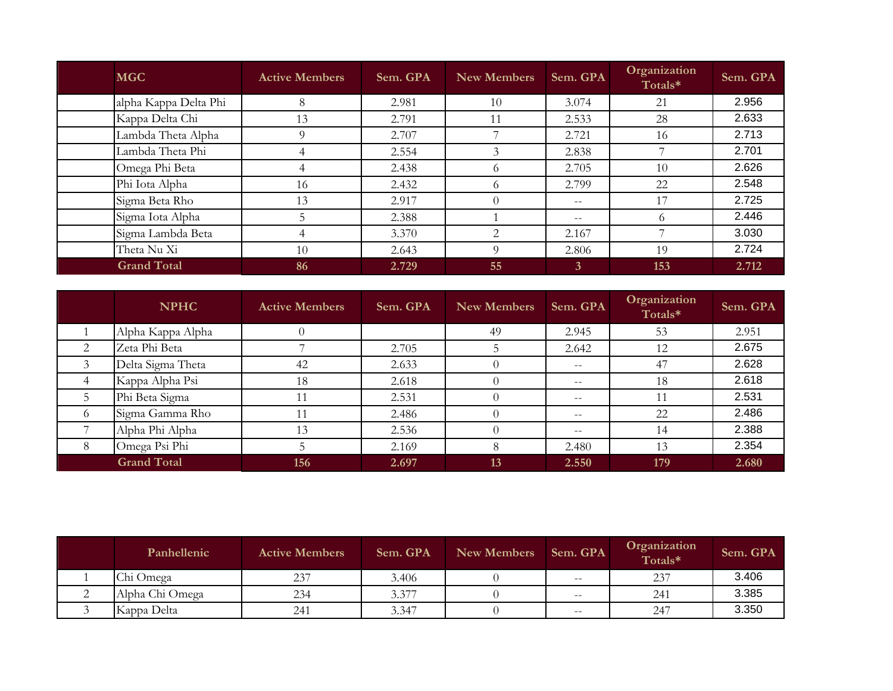| <b>MGC</b>            | <b>Active Members</b> | Sem. GPA | <b>New Members</b> | Sem. GPA     | Organization<br>Totals* | Sem. GPA |
|-----------------------|-----------------------|----------|--------------------|--------------|-------------------------|----------|
| alpha Kappa Delta Phi | 8                     | 2.981    | 10                 | 3.074        | 21                      | 2.956    |
| Kappa Delta Chi       | 13                    | 2.791    | 11                 | 2.533        | 28                      | 2.633    |
| Lambda Theta Alpha    | 9                     | 2.707    |                    | 2.721        | 16                      | 2.713    |
| Lambda Theta Phi      | $\overline{4}$        | 2.554    | 3                  | 2.838        |                         | 2.701    |
| Omega Phi Beta        | 4                     | 2.438    | 6                  | 2.705        | 10                      | 2.626    |
| Phi Iota Alpha        | 16                    | 2.432    | 6                  | 2.799        | 22                      | 2.548    |
| Sigma Beta Rho        | 13                    | 2.917    | $\theta$           | $- -$        |                         | 2.725    |
| Sigma Iota Alpha      | 5                     | 2.388    |                    | $- -$        | $\Omega$                | 2.446    |
| Sigma Lambda Beta     | $\overline{4}$        | 3.370    | 2                  | 2.167        |                         | 3.030    |
| Theta Nu Xi           | 10                    | 2.643    | 9                  | 2.806        | 19                      | 2.724    |
| <b>Grand Total</b>    | 86                    | 2.729    | 55                 | $\mathbf{3}$ | 153                     | 2.712    |

|          | <b>NPHC</b>        | <b>Active Members</b> | Sem. GPA | New Members | Sem. GPA | Organization<br>Totals* | Sem. GPA |
|----------|--------------------|-----------------------|----------|-------------|----------|-------------------------|----------|
|          | Alpha Kappa Alpha  |                       |          | 49          | 2.945    | 53                      | 2.951    |
| 2        | Zeta Phi Beta      |                       | 2.705    |             | 2.642    | 12                      | 2.675    |
|          | Delta Sigma Theta  | 42                    | 2.633    |             | $- -$    | 47                      | 2.628    |
| 4        | Kappa Alpha Psi    | 18                    | 2.618    |             | $- -$    | 18                      | 2.618    |
|          | Phi Beta Sigma     | 11                    | 2.531    |             | $- -$    | 11                      | 2.531    |
| $^{(1)}$ | Sigma Gamma Rho    | 11                    | 2.486    |             | $- -$    | 22                      | 2.486    |
|          | Alpha Phi Alpha    | 13                    | 2.536    |             | $- -$    | 14                      | 2.388    |
| 8        | Omega Psi Phi      |                       | 2.169    |             | 2.480    | 13                      | 2.354    |
|          | <b>Grand Total</b> | 156                   | 2.697    | 13          | 2.550    | 179                     | 2.680    |

| Panhellenic     | <b>Active Members</b> | Sem. GPA | <b>New Members</b> | Sem. GPA                 | Organization<br>Totals* | Sem. GPA |
|-----------------|-----------------------|----------|--------------------|--------------------------|-------------------------|----------|
| Chi Omega       | 237                   | 3.406    |                    | $- -$                    | 237                     | 3.406    |
| Alpha Chi Omega | 234                   | 3.377    |                    | $\overline{\phantom{m}}$ | 241                     | 3.385    |
| Kappa Delta     | 241                   | 3.347    |                    | $- -$                    | 247                     | 3.350    |